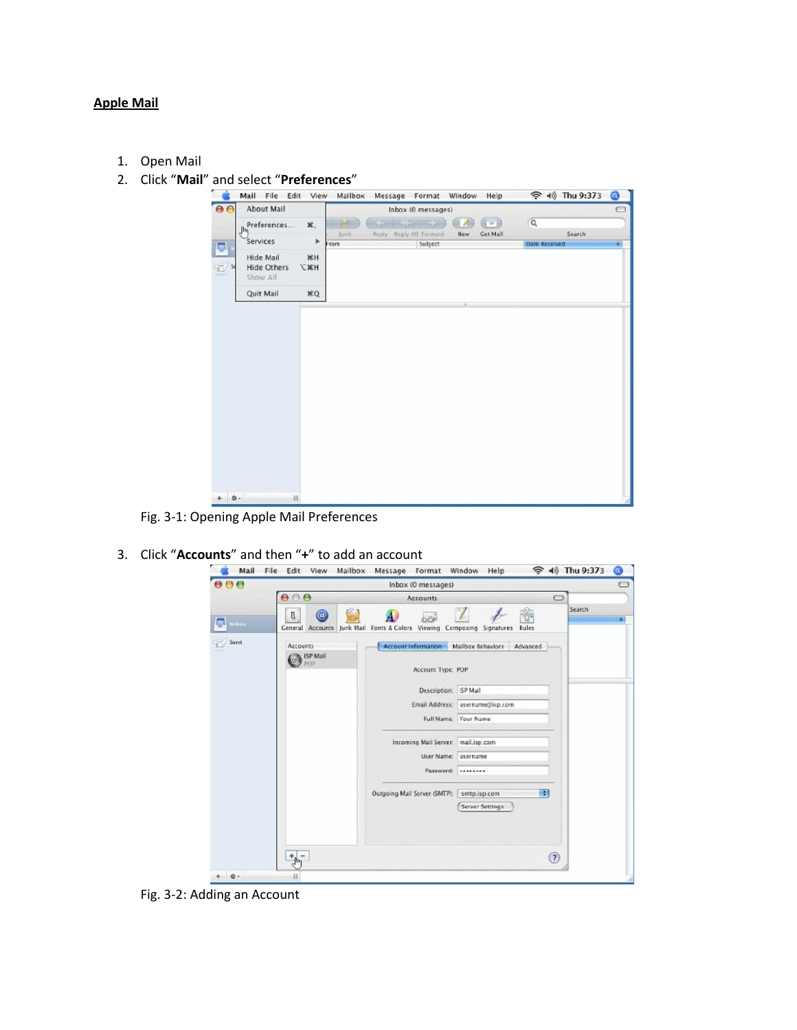## **Apple Mail**

- 1. Open Mail
- 2. Click "**Mail**" and select "**Preferences**"



Fig. 3-1: Opening Apple Mail Preferences

3. Click "**Accounts**" and then "<sup>+</sup>" to add an account<br> **Example 19** Mail File Edit View Mailbox Message Format Window Help



Fig. 3-2: Adding an Account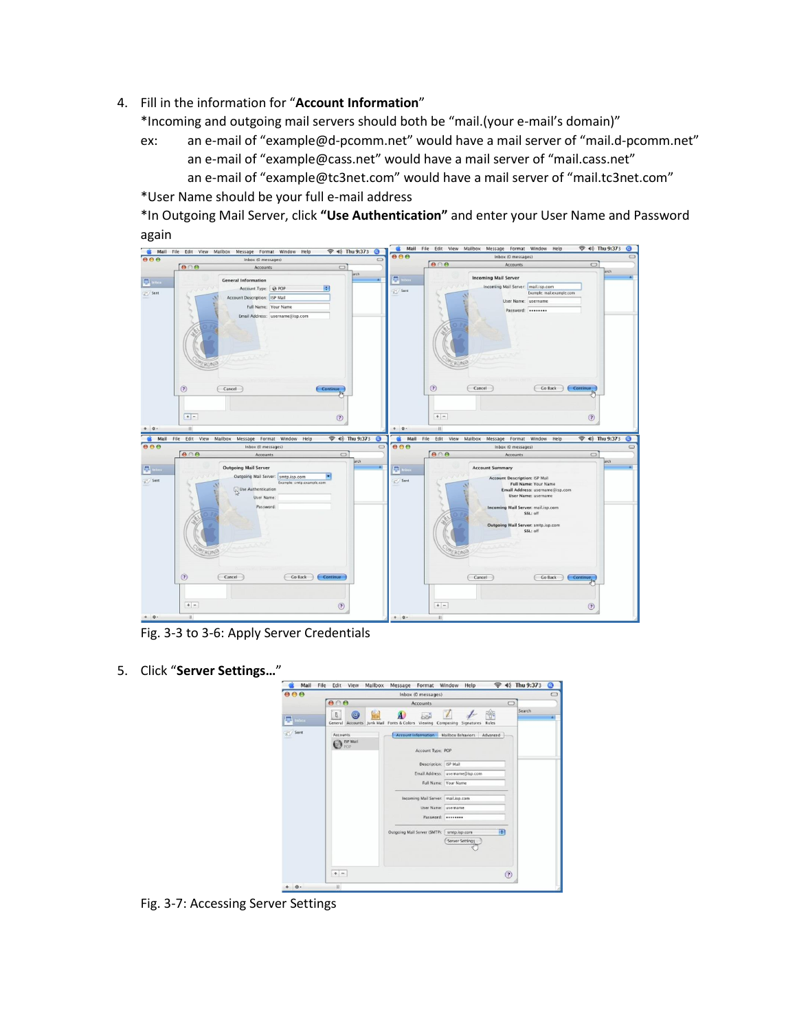4. Fill in the information for "**Account Information**"

\*Incoming and outgoing mail servers should both be "mail.(your e-mail's domain)"

ex: an e-mail of "example@d-pcomm.net" would have a mail server of "mail.d-pcomm.net" an e-mail of "example@cass.net" would have a mail server of "mail.cass.net" an e-mail of "example@tc3net.com" would have a mail server of "mail.tc3net.com"

\*User Name should be your full e-mail address

\*In Outgoing Mail Server, click **"Use Authentication"** and enter your User Name and Password



Fig. 3-3 to 3-6: Apply Server Credentials

5. Click "**Server Settings…**"



Fig. 3-7: Accessing Server Settings